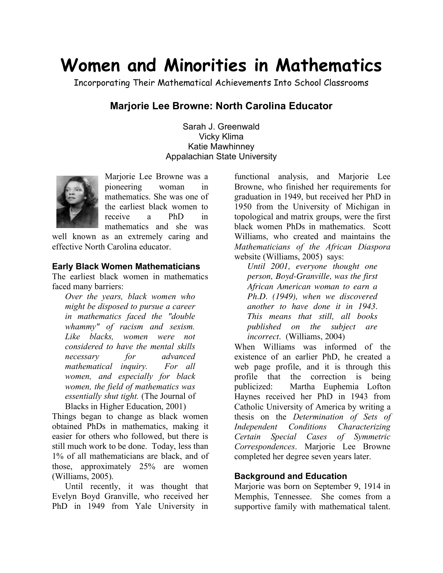# **Women and Minorities in Mathematics**

Incorporating Their Mathematical Achievements Into School Classrooms

# **Marjorie Lee Browne: North Carolina Educator**

Sarah J. Greenwald Vicky Klima Katie Mawhinney Appalachian State University



Marjorie Lee Browne was a pioneering woman in mathematics. She was one of the earliest black women to receive a PhD in mathematics and she was

well known as an extremely caring and effective North Carolina educator.

#### **Early Black Women Mathematicians**

The earliest black women in mathematics faced many barriers:

*Over the years, black women who might be disposed to pursue a career in mathematics faced the "double whammy" of racism and sexism. Like blacks, women were not considered to have the mental skills necessary for advanced mathematical inquiry. For all women, and especially for black women, the field of mathematics was essentially shut tight.* (The Journal of Blacks in Higher Education, 2001)

Things began to change as black women obtained PhDs in mathematics, making it easier for others who followed, but there is still much work to be done. Today, less than 1% of all mathematicians are black, and of those, approximately 25% are women (Williams, 2005).

Until recently, it was thought that Evelyn Boyd Granville, who received her PhD in 1949 from Yale University in functional analysis, and Marjorie Lee Browne, who finished her requirements for graduation in 1949, but received her PhD in 1950 from the University of Michigan in topological and matrix groups, were the first black women PhDs in mathematics. Scott Williams, who created and maintains the *Mathematicians of the African Diaspora* website (Williams, 2005) says:

*Until 2001, everyone thought one person, Boyd-Granville, was the first African American woman to earn a Ph.D. (1949), when we discovered another to have done it in 1943. This means that still, all books published on the subject are incorrect*. (Williams, 2004)

When Williams was informed of the existence of an earlier PhD, he created a web page profile, and it is through this profile that the correction is being publicized: Martha Euphemia Lofton Haynes received her PhD in 1943 from Catholic University of America by writing a thesis on the *Determination of Sets of Independent Conditions Characterizing Certain Special Cases of Symmetric Correspondences*. Marjorie Lee Browne completed her degree seven years later.

# **Background and Education**

Mariorie was born on September 9, 1914 in Memphis, Tennessee. She comes from a supportive family with mathematical talent.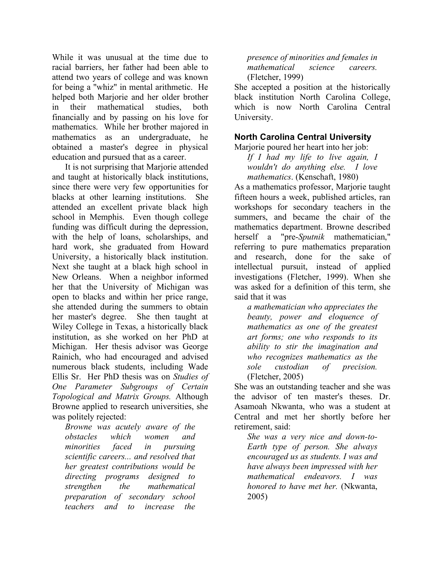While it was unusual at the time due to racial barriers, her father had been able to attend two years of college and was known for being a "whiz" in mental arithmetic. He helped both Marjorie and her older brother in their mathematical studies, both financially and by passing on his love for mathematics. While her brother majored in mathematics as an undergraduate, he obtained a master's degree in physical education and pursued that as a career.

It is not surprising that Marjorie attended and taught at historically black institutions, since there were very few opportunities for blacks at other learning institutions. She attended an excellent private black high school in Memphis. Even though college funding was difficult during the depression, with the help of loans, scholarships, and hard work, she graduated from Howard University, a historically black institution. Next she taught at a black high school in New Orleans. When a neighbor informed her that the University of Michigan was open to blacks and within her price range, she attended during the summers to obtain her master's degree. She then taught at Wiley College in Texas, a historically black institution, as she worked on her PhD at Michigan. Her thesis advisor was George Rainich, who had encouraged and advised numerous black students, including Wade Ellis Sr. Her PhD thesis was on *Studies of One Parameter Subgroups of Certain Topological and Matrix Groups.* Although Browne applied to research universities, she was politely rejected:

*Browne was acutely aware of the obstacles which women and minorities faced in pursuing scientific careers... and resolved that her greatest contributions would be directing programs designed to strengthen the mathematical preparation of secondary school teachers and to increase the*

*presence of minorities and females in mathematical science careers.* (Fletcher, 1999)

She accepted a position at the historically black institution North Carolina College, which is now North Carolina Central University.

# **North Carolina Central University**

Marjorie poured her heart into her job:

*If I had my life to live again, I wouldn't do anything else. I love mathematics*. (Kenschaft, 1980)

As a mathematics professor, Marjorie taught fifteen hours a week, published articles, ran workshops for secondary teachers in the summers, and became the chair of the mathematics department. Browne described herself a "pre-*Sputnik* mathematician," referring to pure mathematics preparation and research, done for the sake of intellectual pursuit, instead of applied investigations (Fletcher, 1999). When she was asked for a definition of this term, she said that it was

*a mathematician who appreciates the beauty, power and eloquence of mathematics as one of the greatest art forms; one who responds to its ability to stir the imagination and who recognizes mathematics as the sole custodian of precision.* (Fletcher, 2005)

She was an outstanding teacher and she was the advisor of ten master's theses. Dr. Asamoah Nkwanta, who was a student at Central and met her shortly before her retirement, said:

*She was a very nice and down-to-Earth type of person. She always encouraged us as students. I was and have always been impressed with her mathematical endeavors. I was honored to have met her.* (Nkwanta, 2005)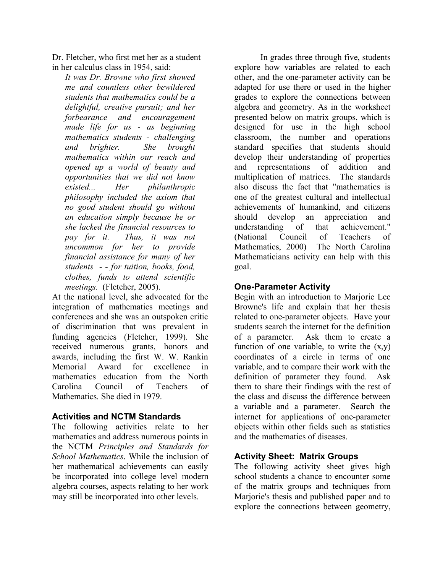Dr. Fletcher, who first met her as a student in her calculus class in 1954, said:

*It was Dr. Browne who first showed me and countless other bewildered students that mathematics could be a delightful, creative pursuit; and her forbearance and encouragement made life for us - as beginning mathematics students - challenging and brighter. She brought mathematics within our reach and opened up a world of beauty and opportunities that we did not know existed... Her philanthropic philosophy included the axiom that no good student should go without an education simply because he or she lacked the financial resources to pay for it. Thus, it was not uncommon for her to provide financial assistance for many of her students - - for tuition, books, food, clothes, funds to attend scientific meetings.* (Fletcher, 2005).

At the national level, she advocated for the integration of mathematics meetings and conferences and she was an outspoken critic of discrimination that was prevalent in funding agencies (Fletcher, 1999). She received numerous grants, honors and awards, including the first W. W. Rankin Memorial Award for excellence in mathematics education from the North Carolina Council of Teachers of Mathematics. She died in 1979.

### **Activities and NCTM Standards**

The following activities relate to her mathematics and address numerous points in the NCTM *Principles and Standards for School Mathematics*. While the inclusion of her mathematical achievements can easily be incorporated into college level modern algebra courses, aspects relating to her work may still be incorporated into other levels.

In grades three through five, students explore how variables are related to each other, and the one-parameter activity can be adapted for use there or used in the higher grades to explore the connections between algebra and geometry. As in the worksheet presented below on matrix groups, which is designed for use in the high school classroom, the number and operations standard specifies that students should develop their understanding of properties and representations of addition and multiplication of matrices. The standards also discuss the fact that "mathematics is one of the greatest cultural and intellectual achievements of humankind, and citizens should develop an appreciation and understanding of that achievement." (National Council of Teachers of Mathematics, 2000) The North Carolina Mathematicians activity can help with this goal.

# **One-Parameter Activity**

Begin with an introduction to Marjorie Lee Browne's life and explain that her thesis related to one-parameter objects. Have your students search the internet for the definition of a parameter. Ask them to create a function of one variable, to write the  $(x,y)$ coordinates of a circle in terms of one variable, and to compare their work with the definition of parameter they found. Ask them to share their findings with the rest of the class and discuss the difference between a variable and a parameter. Search the internet for applications of one-parameter objects within other fields such as statistics and the mathematics of diseases.

# **Activity Sheet: Matrix Groups**

The following activity sheet gives high school students a chance to encounter some of the matrix groups and techniques from Marjorie's thesis and published paper and to explore the connections between geometry,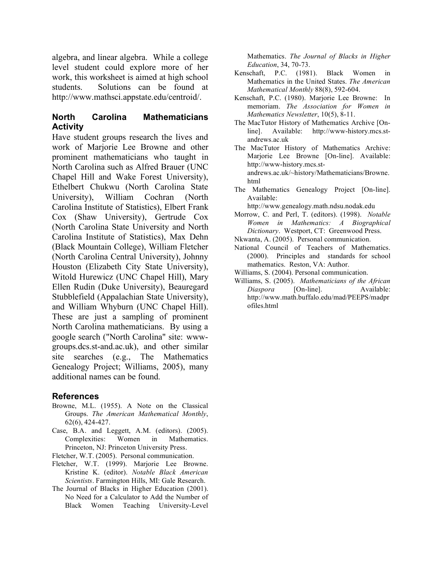algebra, and linear algebra. While a college level student could explore more of her work, this worksheet is aimed at high school students. Solutions can be found at http://www.mathsci.appstate.edu/centroid/.

### **North Carolina Mathematicians Activity**

Have student groups research the lives and work of Marjorie Lee Browne and other prominent mathematicians who taught in North Carolina such as Alfred Brauer (UNC Chapel Hill and Wake Forest University), Ethelbert Chukwu (North Carolina State University), William Cochran (North Carolina Institute of Statistics), Elbert Frank Cox (Shaw University), Gertrude Cox (North Carolina State University and North Carolina Institute of Statistics), Max Dehn (Black Mountain College), William Fletcher (North Carolina Central University), Johnny Houston (Elizabeth City State University), Witold Hurewicz (UNC Chapel Hill), Mary Ellen Rudin (Duke University), Beauregard Stubblefield (Appalachian State University), and William Whyburn (UNC Chapel Hill). These are just a sampling of prominent North Carolina mathematicians. By using a google search ("North Carolina" site: wwwgroups.dcs.st-and.ac.uk), and other similar site searches (e.g., The Mathematics Genealogy Project; Williams, 2005), many additional names can be found.

#### **References**

- Browne, M.L. (1955). A Note on the Classical Groups. *The American Mathematical Monthly*, 62(6), 424-427.
- Case, B.A. and Leggett, A.M. (editors). (2005). Complexities: Women in Mathematics. Princeton, NJ: Princeton University Press.
- Fletcher, W.T. (2005). Personal communication.
- Fletcher, W.T. (1999). Marjorie Lee Browne. Kristine K. (editor). *Notable Black American Scientists*. Farmington Hills, MI: Gale Research.
- The Journal of Blacks in Higher Education (2001). No Need for a Calculator to Add the Number of Black Women Teaching University-Level

Mathematics. *The Journal of Blacks in Higher Education*, 34, 70-73.

- Kenschaft, P.C. (1981). Black Women in Mathematics in the United States. *The American Mathematical Monthly* 88(8), 592-604.
- Kenschaft, P.C. (1980). Marjorie Lee Browne: In memoriam. *The Association for Women in Mathematics Newsletter*, 10(5), 8-11.
- The MacTutor History of Mathematics Archive [On-<br>line]. Available: http://www-history.mcs.stline]. Available: http://www-history.mcs.standrews.ac.uk
- The MacTutor History of Mathematics Archive: Marjorie Lee Browne [On-line]. Available: http://www-history.mcs.standrews.ac.uk/~history/Mathematicians/Browne. html
- The Mathematics Genealogy Project [On-line]. Available:
	- http://www.genealogy.math.ndsu.nodak.edu
- Morrow, C. and Perl, T. (editors). (1998). *Notable Women in Mathematics: A Biographical Dictionary*. Westport, CT: Greenwood Press.
- Nkwanta, A. (2005). Personal communication.
- National Council of Teachers of Mathematics. (2000). Principles and standards for school mathematics. Reston, VA: Author.
- Williams, S. (2004). Personal communication.
- Williams, S. (2005). *Mathematicians of the African Diaspora* [On-line]. Available: http://www.math.buffalo.edu/mad/PEEPS/madpr ofiles.html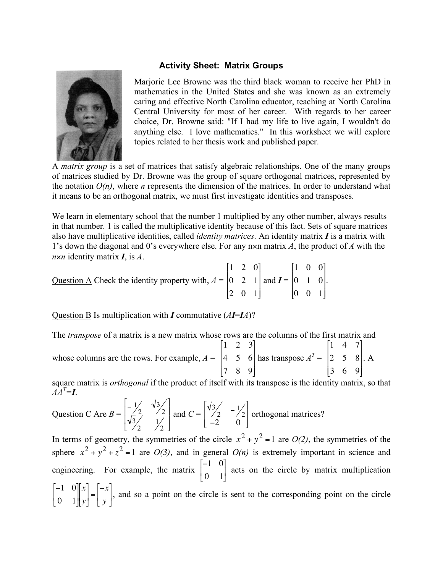#### **Activity Sheet: Matrix Groups**



Marjorie Lee Browne was the third black woman to receive her PhD in mathematics in the United States and she was known as an extremely caring and effective North Carolina educator, teaching at North Carolina Central University for most of her career. With regards to her career choice, Dr. Browne said: "If I had my life to live again, I wouldn't do anything else. I love mathematics." In this worksheet we will explore topics related to her thesis work and published paper.

A *matrix group* is a set of matrices that satisfy algebraic relationships. One of the many groups of matrices studied by Dr. Browne was the group of square orthogonal matrices, represented by the notation  $O(n)$ , where *n* represents the dimension of the matrices. In order to understand what it means to be an orthogonal matrix, we must first investigate identities and transposes.

We learn in elementary school that the number 1 multiplied by any other number, always results in that number. 1 is called the multiplicative identity because of this fact. Sets of square matrices also have multiplicative identities, called *identity matrices*. An identity matrix *I* is a matrix with 1's down the diagonal and 0's everywhere else. For any n×n matrix *A*, the product of *A* with the *n*×*n* identity matrix *I*, is *A*.

Question  $\overline{A}$  Check the identity property with,  $A =$ 1 2 0 0 2 1 2 0 1 [ # l.  $\mathbf{r}$  $\mathsf{I}$ 1 & ' ' ' and  $I =$ 1 0 0 0 1 0 0 0 1 [ Ľ  $\mathsf I$  $\mathbf{I}$ \$  $\mathcal I$ & ' ' ' .

Question B Is multiplication with *I* commutative (*AI*=*IA*)?

The *transpose* of a matrix is a new matrix whose rows are the columns of the first matrix and whose columns are the rows. For example,  $A =$ 1 2 3 4 5 6 7 8 9 [ L  $\overline{\phantom{a}}$  $\overline{\phantom{a}}$  $\mathsf I$  $\cdot \rceil$ & ' ' ' has transpose  $A^T$  = 1 4 7 2 5 8 3 6 9 [ L  $\mathsf{L}$  $\mathbf{r}$  $\overline{\phantom{a}}$ 1 & ' ' ' . A

square matrix is *orthogonal* if the product of itself with its transpose is the identity matrix, so that  $\vec{A} \vec{A}^T = I$ .

Question C Are 
$$
B = \begin{bmatrix} -\frac{1}{2} & \sqrt{3} \\ \sqrt{3} & \frac{1}{2} \\ 2 & \sqrt{2} \end{bmatrix}
$$
 and  $C = \begin{bmatrix} \sqrt{3} & -\frac{1}{2} \\ -2 & 0 \end{bmatrix}$  orthogonal matrices?

 $\sum_{n=1}^{\infty}$  Equipmental the  $\epsilon$ In terms of geometry, the symmetries of the circle  $x^2 + y^2 = 1$  are *O(2)*, the symmetries of the l ( sphere  $x^2 + y^2 + z^2 = 1$  are *O(3)*, and in general *O(n)* is extremely important in science and engineering. For example, the matrix  $\begin{bmatrix} -1 & 0 \\ 0 & 1 \end{bmatrix}$ 0 1 # \$  $\mathsf I$ 1 acts on the circle by matrix multiplication  $-1$  0 0 1  $\lceil$ \$  $\overline{\phantom{a}}$  $\overline{\phantom{a}}$ ' ( *x y* # \$  $\mathsf I$ 1  $\Big] = % \begin{cases} \frac{1}{\sqrt{2}}\ \frac{1}{\sqrt{2}}\ \frac{1}{\sqrt{2}}\ \frac{1}{\sqrt{2}}\ \frac{1}{\sqrt{2}}\ \frac{1}{\sqrt{2}}\ \frac{1}{\sqrt{2}}\ \frac{1}{\sqrt{2}}\ \frac{1}{\sqrt{2}}\ \frac{1}{\sqrt{2}}\ \frac{1}{\sqrt{2}}\ \frac{1}{\sqrt{2}}\ \frac{1}{\sqrt{2}}\ \frac{1}{\sqrt{2}}\ \frac{1}{\sqrt{2}}\ \frac{1}{\sqrt{2}}\ \frac{1}{\sqrt{2}}\ \frac{1}{\sqrt{2}}\ \frac{1}{\sqrt{2}}\ \$  $-x$ *y*  $\lceil$ \$  $\overline{\phantom{a}}$ 1 |, and so a point on the circle is sent to the corresponding point on the circle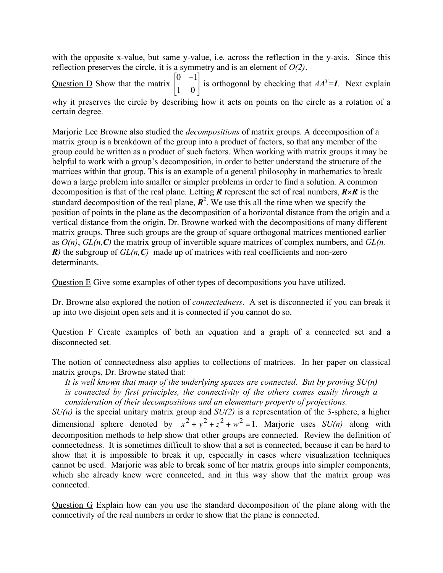with the opposite x-value, but same y-value, i.e. across the reflection in the y-axis. Since this reflection preserves the circle, it is a symmetry and is an element of *O(2)*.

Question D Show that the matrix  $\begin{bmatrix} 0 & -1 \\ 1 & 0 \end{bmatrix}$ 1 0  $\lceil$ \$  $\mathsf{l}$  $\overline{\phantom{a}}$ is orthogonal by checking that  $AA<sup>T</sup>=I$ . Next explain why it preserves the circle by describing how it acts on points on the circle as a rotation of a certain degree.

! Marjorie Lee Browne also studied the *decompositions* of matrix groups. A decomposition of a matrix group is a breakdown of the group into a product of factors, so that any member of the group could be written as a product of such factors. When working with matrix groups it may be helpful to work with a group's decomposition, in order to better understand the structure of the matrices within that group. This is an example of a general philosophy in mathematics to break down a large problem into smaller or simpler problems in order to find a solution. A common decomposition is that of the real plane. Letting *R* represent the set of real numbers, *R*×*R* is the standard decomposition of the real plane,  $\mathbb{R}^2$ . We use this all the time when we specify the position of points in the plane as the decomposition of a horizontal distance from the origin and a vertical distance from the origin. Dr. Browne worked with the decompositions of many different matrix groups. Three such groups are the group of square orthogonal matrices mentioned earlier as *O(n)*, *GL(n,C)* the matrix group of invertible square matrices of complex numbers, and *GL(n,*  $R$ *)* the subgroup of  $GL(n, C)$  made up of matrices with real coefficients and non-zero determinants.

Question E Give some examples of other types of decompositions you have utilized.

Dr. Browne also explored the notion of *connectedness*. A set is disconnected if you can break it up into two disjoint open sets and it is connected if you cannot do so.

Question F Create examples of both an equation and a graph of a connected set and a disconnected set.

The notion of connectedness also applies to collections of matrices. In her paper on classical matrix groups, Dr. Browne stated that:

*It is well known that many of the underlying spaces are connected. But by proving SU(n) is connected by first principles, the connectivity of the others comes easily through a consideration of their decompositions and an elementary property of projections.*

*SU(n)* is the special unitary matrix group and *SU(2)* is a representation of the 3-sphere, a higher dimensional sphere denoted by  $x^2 + y^2 + z^2 + w^2 = 1$ . Marjorie uses  $SU(n)$  along with cannot be used. Marjorie was able to break some of her matrix groups into simpler components, decomposition methods to help show that other groups are connected. Review the definition of connectedness. It is sometimes difficult to show that a set is connected, because it can be hard to show that it is impossible to break it up, especially in cases where visualization techniques which she already knew were connected, and in this way show that the matrix group was connected.

Question G Explain how can you use the standard decomposition of the plane along with the connectivity of the real numbers in order to show that the plane is connected.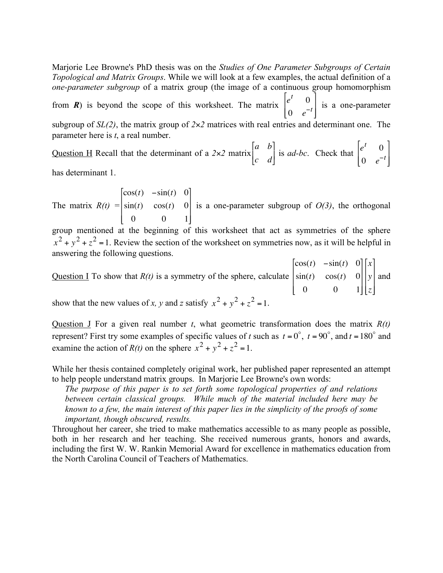Marjorie Lee Browne's PhD thesis was on the *Studies of One Parameter Subgroups of Certain Topological and Matrix Groups*. While we will look at a few examples, the actual definition of a *one-parameter subgroup* of a matrix group (the image of a continuous group homomorphism

from *R*) is beyond the scope of this worksheet. The matrix  $\begin{vmatrix} e^t & 0 \\ 0 & 0 \end{vmatrix}$ 0  $e^{-t}$ [ \$  $\mathbf{I}$  $\mathsf I$ 1 '  $\overline{\phantom{a}}$  $\overline{\phantom{a}}$ is a one-parameter subgroup of  $SL(2)$ , the matrix group of  $2\times 2$  matrices with real entries and determinant one. The

parameter here is *t*, a real number.

Question H Recall that the determinant of a 2×2 matrix *a b c d*  $\lceil$ #  $\mathsf{I}$ ] & is *ad-bc*. Check that  $\begin{vmatrix} e^t & 0 \\ 0 & -e^t \end{vmatrix}$ 0  $e^{-t}$ [ \$  $\mathbf{r}$  $\mathsf I$ & '  $\overline{\phantom{a}}$  $\overline{\phantom{a}}$ 

has determinant 1.

The matrix  $R(t) = \begin{vmatrix} \cos(t) & \sin(t) & 0 \\ \sin(t) & \cos(t) & 0 \end{vmatrix}$  is a one-parameter subgroup of  $O(3)$  $\cos(t)$   $-\sin(t)$  0  $sin(t)$   $cos(t)$  0 0 0 1 # \$  $\overline{\phantom{a}}$  $\mathsf{l}$  $\mathsf I$  $\overline{\phantom{a}}$ |<br>|  $\overline{\phantom{a}}$  $\overline{\phantom{a}}$  $\overline{\phantom{a}}$ is a one-parameter subgroup of *O(3)*, the orthogonal

answering the following questions. group mentioned at the beginning of this worksheet that act as symmetries of the sphere  $x^2 + y^2 + z^2 = 1$ . Review the section of the worksheet on symmetries now, as it will be helpful in

Question I To show that *R(t)* is a symmetry of the sphere, calculate  $\cos(t)$   $-\sin(t)$  0  $sin(t)$   $cos(t)$  0 0 0 1 # \$  $\mathsf{l}$  $\mathsf{l}$  $\mathsf I$  $\overline{\phantom{a}}$ |<br>|  $\overline{\phantom{a}}$  $\overline{\phantom{a}}$  $\overline{\phantom{a}}$ *x y z*  $\lceil$ L  $\overline{\phantom{a}}$  $\mathbf{I}$  $\overline{\phantom{a}}$  $\mathcal{I}$ & ' ' ' and show that the new values of *x*, *y* and *z* satisfy  $x^2 + y^2 + z^2 = 1$ .

Question J For a given real number *t*, what geometric transformation does the matrix *R(t)*  $\frac{1}{1}$ represent? First try some examples of specific values of *t* such as  $t = 0^\circ$ ,  $t = 90^\circ$ , and  $t = 180^\circ$  and examine the action of  $R(t)$  on the sphere  $x^2 + y^2 + z^2 = 1$ .

While her thesis contained completely original work, her published paper represented an attempt to help people understand matrix groups. In Marjorie Lee Browne's own words:

! *The purpose of this paper is to set forth some topological properties of and relations between certain classical groups. While much of the material included here may be known to a few, the main interest of this paper lies in the simplicity of the proofs of some important, though obscured, results.*

Throughout her career, she tried to make mathematics accessible to as many people as possible, both in her research and her teaching. She received numerous grants, honors and awards, including the first W. W. Rankin Memorial Award for excellence in mathematics education from the North Carolina Council of Teachers of Mathematics.